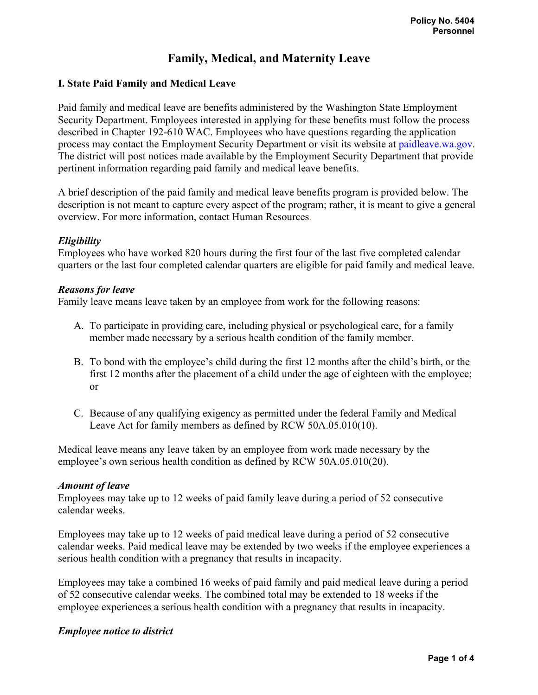# **Family, Medical, and Maternity Leave**

### **I. State Paid Family and Medical Leave**

Paid family and medical leave are benefits administered by the Washington State Employment Security Department. Employees interested in applying for these benefits must follow the process described in Chapter 192-610 WAC. Employees who have questions regarding the application process may contact the Employment Security Department or visit its website at [paidleave.wa.gov.](https://paidleave.wa.gov/) The district will post notices made available by the Employment Security Department that provide pertinent information regarding paid family and medical leave benefits.

A brief description of the paid family and medical leave benefits program is provided below. The description is not meant to capture every aspect of the program; rather, it is meant to give a general overview. For more information, contact Human Resources.

#### *Eligibility*

Employees who have worked 820 hours during the first four of the last five completed calendar quarters or the last four completed calendar quarters are eligible for paid family and medical leave.

#### *Reasons for leave*

Family leave means leave taken by an employee from work for the following reasons:

- A. To participate in providing care, including physical or psychological care, for a family member made necessary by a serious health condition of the family member.
- B. To bond with the employee's child during the first 12 months after the child's birth, or the first 12 months after the placement of a child under the age of eighteen with the employee; or
- C. Because of any qualifying exigency as permitted under the federal Family and Medical Leave Act for family members as defined by RCW 50A.05.010(10).

Medical leave means any leave taken by an employee from work made necessary by the employee's own serious health condition as defined by RCW 50A.05.010(20).

#### *Amount of leave*

Employees may take up to 12 weeks of paid family leave during a period of 52 consecutive calendar weeks.

Employees may take up to 12 weeks of paid medical leave during a period of 52 consecutive calendar weeks. Paid medical leave may be extended by two weeks if the employee experiences a serious health condition with a pregnancy that results in incapacity.

Employees may take a combined 16 weeks of paid family and paid medical leave during a period of 52 consecutive calendar weeks. The combined total may be extended to 18 weeks if the employee experiences a serious health condition with a pregnancy that results in incapacity.

#### *Employee notice to district*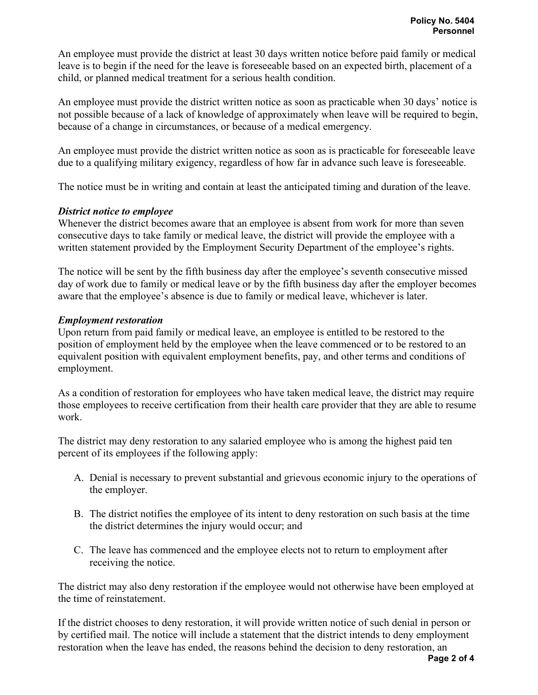An employee must provide the district at least 30 days written notice before paid family or medical leave is to begin if the need for the leave is foreseeable based on an expected birth, placement of a child, or planned medical treatment for a serious health condition.

An employee must provide the district written notice as soon as practicable when 30 days' notice is not possible because of a lack of knowledge of approximately when leave will be required to begin, because of a change in circumstances, or because of a medical emergency.

An employee must provide the district written notice as soon as is practicable for foreseeable leave due to a qualifying military exigency, regardless of how far in advance such leave is foreseeable.

The notice must be in writing and contain at least the anticipated timing and duration of the leave.

### *District notice to employee*

Whenever the district becomes aware that an employee is absent from work for more than seven consecutive days to take family or medical leave, the district will provide the employee with a written statement provided by the Employment Security Department of the employee's rights.

The notice will be sent by the fifth business day after the employee's seventh consecutive missed day of work due to family or medical leave or by the fifth business day after the employer becomes aware that the employee's absence is due to family or medical leave, whichever is later.

### *Employment restoration*

Upon return from paid family or medical leave, an employee is entitled to be restored to the position of employment held by the employee when the leave commenced or to be restored to an equivalent position with equivalent employment benefits, pay, and other terms and conditions of employment.

As a condition of restoration for employees who have taken medical leave, the district may require those employees to receive certification from their health care provider that they are able to resume work.

The district may deny restoration to any salaried employee who is among the highest paid ten percent of its employees if the following apply:

- A. Denial is necessary to prevent substantial and grievous economic injury to the operations of the employer.
- B. The district notifies the employee of its intent to deny restoration on such basis at the time the district determines the injury would occur; and
- C. The leave has commenced and the employee elects not to return to employment after receiving the notice.

The district may also deny restoration if the employee would not otherwise have been employed at the time of reinstatement.

If the district chooses to deny restoration, it will provide written notice of such denial in person or by certified mail. The notice will include a statement that the district intends to deny employment restoration when the leave has ended, the reasons behind the decision to deny restoration, an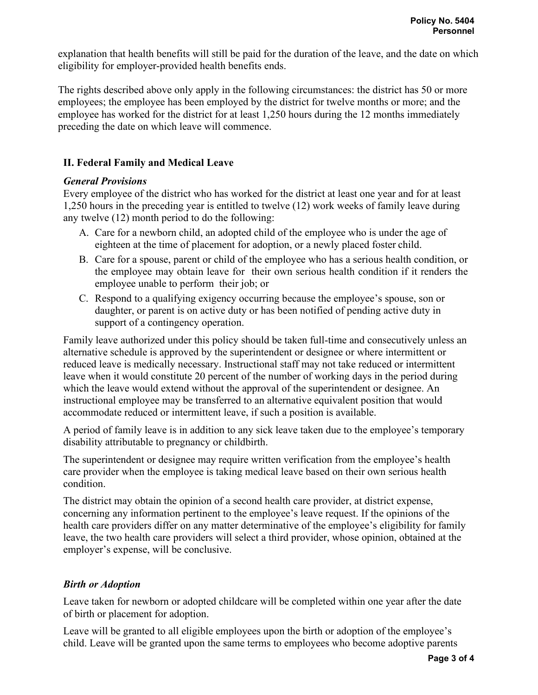explanation that health benefits will still be paid for the duration of the leave, and the date on which eligibility for employer-provided health benefits ends.

The rights described above only apply in the following circumstances: the district has 50 or more employees; the employee has been employed by the district for twelve months or more; and the employee has worked for the district for at least 1,250 hours during the 12 months immediately preceding the date on which leave will commence.

# **II. Federal Family and Medical Leave**

# *General Provisions*

Every employee of the district who has worked for the district at least one year and for at least 1,250 hours in the preceding year is entitled to twelve (12) work weeks of family leave during any twelve (12) month period to do the following:

- A. Care for a newborn child, an adopted child of the employee who is under the age of eighteen at the time of placement for adoption, or a newly placed foster child.
- B. Care for a spouse, parent or child of the employee who has a serious health condition, or the employee may obtain leave for their own serious health condition if it renders the employee unable to perform their job; or
- C. Respond to a qualifying exigency occurring because the employee's spouse, son or daughter, or parent is on active duty or has been notified of pending active duty in support of a contingency operation.

Family leave authorized under this policy should be taken full-time and consecutively unless an alternative schedule is approved by the superintendent or designee or where intermittent or reduced leave is medically necessary. Instructional staff may not take reduced or intermittent leave when it would constitute 20 percent of the number of working days in the period during which the leave would extend without the approval of the superintendent or designee. An instructional employee may be transferred to an alternative equivalent position that would accommodate reduced or intermittent leave, if such a position is available.

A period of family leave is in addition to any sick leave taken due to the employee's temporary disability attributable to pregnancy or childbirth.

The superintendent or designee may require written verification from the employee's health care provider when the employee is taking medical leave based on their own serious health condition.

The district may obtain the opinion of a second health care provider, at district expense, concerning any information pertinent to the employee's leave request. If the opinions of the health care providers differ on any matter determinative of the employee's eligibility for family leave, the two health care providers will select a third provider, whose opinion, obtained at the employer's expense, will be conclusive.

# *Birth or Adoption*

Leave taken for newborn or adopted childcare will be completed within one year after the date of birth or placement for adoption.

Leave will be granted to all eligible employees upon the birth or adoption of the employee's child. Leave will be granted upon the same terms to employees who become adoptive parents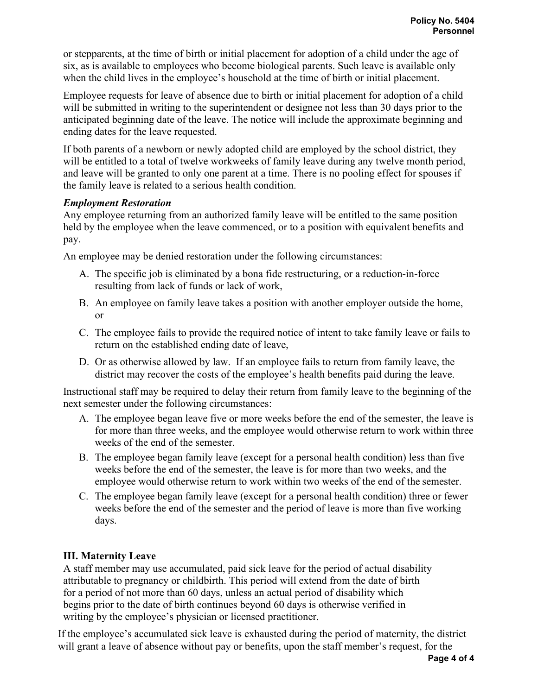or stepparents, at the time of birth or initial placement for adoption of a child under the age of six, as is available to employees who become biological parents. Such leave is available only when the child lives in the employee's household at the time of birth or initial placement.

Employee requests for leave of absence due to birth or initial placement for adoption of a child will be submitted in writing to the superintendent or designee not less than 30 days prior to the anticipated beginning date of the leave. The notice will include the approximate beginning and ending dates for the leave requested.

If both parents of a newborn or newly adopted child are employed by the school district, they will be entitled to a total of twelve workweeks of family leave during any twelve month period, and leave will be granted to only one parent at a time. There is no pooling effect for spouses if the family leave is related to a serious health condition.

### *Employment Restoration*

Any employee returning from an authorized family leave will be entitled to the same position held by the employee when the leave commenced, or to a position with equivalent benefits and pay.

An employee may be denied restoration under the following circumstances:

- A. The specific job is eliminated by a bona fide restructuring, or a reduction-in-force resulting from lack of funds or lack of work,
- B. An employee on family leave takes a position with another employer outside the home, or
- C. The employee fails to provide the required notice of intent to take family leave or fails to return on the established ending date of leave,
- D. Or as otherwise allowed by law. If an employee fails to return from family leave, the district may recover the costs of the employee's health benefits paid during the leave.

Instructional staff may be required to delay their return from family leave to the beginning of the next semester under the following circumstances:

- A. The employee began leave five or more weeks before the end of the semester, the leave is for more than three weeks, and the employee would otherwise return to work within three weeks of the end of the semester.
- B. The employee began family leave (except for a personal health condition) less than five weeks before the end of the semester, the leave is for more than two weeks, and the employee would otherwise return to work within two weeks of the end of the semester.
- C. The employee began family leave (except for a personal health condition) three or fewer weeks before the end of the semester and the period of leave is more than five working days.

# **III. Maternity Leave**

A staff member may use accumulated, paid sick leave for the period of actual disability attributable to pregnancy or childbirth. This period will extend from the date of birth for a period of not more than 60 days, unless an actual period of disability which begins prior to the date of birth continues beyond 60 days is otherwise verified in writing by the employee's physician or licensed practitioner.

If the employee's accumulated sick leave is exhausted during the period of maternity, the district will grant a leave of absence without pay or benefits, upon the staff member's request, for the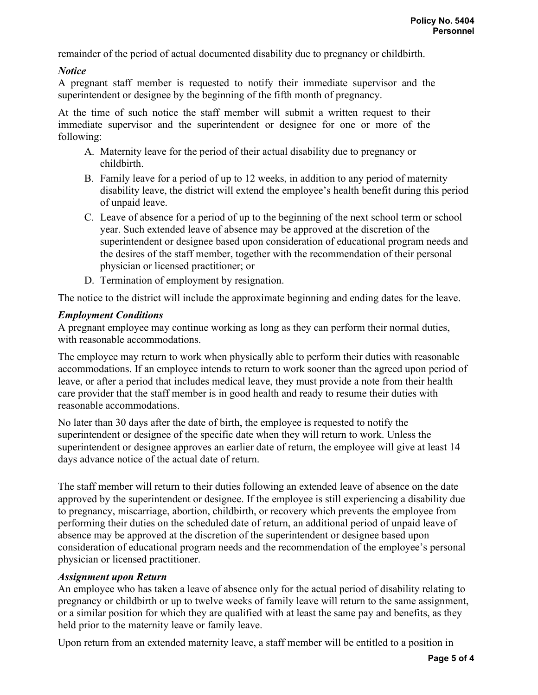remainder of the period of actual documented disability due to pregnancy or childbirth.

# *Notice*

A pregnant staff member is requested to notify their immediate supervisor and the superintendent or designee by the beginning of the fifth month of pregnancy.

At the time of such notice the staff member will submit a written request to their immediate supervisor and the superintendent or designee for one or more of the following:

- A. Maternity leave for the period of their actual disability due to pregnancy or childbirth.
- B. Family leave for a period of up to 12 weeks, in addition to any period of maternity disability leave, the district will extend the employee's health benefit during this period of unpaid leave.
- C. Leave of absence for a period of up to the beginning of the next school term or school year. Such extended leave of absence may be approved at the discretion of the superintendent or designee based upon consideration of educational program needs and the desires of the staff member, together with the recommendation of their personal physician or licensed practitioner; or
- D. Termination of employment by resignation.

The notice to the district will include the approximate beginning and ending dates for the leave.

# *Employment Conditions*

A pregnant employee may continue working as long as they can perform their normal duties, with reasonable accommodations.

The employee may return to work when physically able to perform their duties with reasonable accommodations. If an employee intends to return to work sooner than the agreed upon period of leave, or after a period that includes medical leave, they must provide a note from their health care provider that the staff member is in good health and ready to resume their duties with reasonable accommodations.

No later than 30 days after the date of birth, the employee is requested to notify the superintendent or designee of the specific date when they will return to work. Unless the superintendent or designee approves an earlier date of return, the employee will give at least 14 days advance notice of the actual date of return.

The staff member will return to their duties following an extended leave of absence on the date approved by the superintendent or designee. If the employee is still experiencing a disability due to pregnancy, miscarriage, abortion, childbirth, or recovery which prevents the employee from performing their duties on the scheduled date of return, an additional period of unpaid leave of absence may be approved at the discretion of the superintendent or designee based upon consideration of educational program needs and the recommendation of the employee's personal physician or licensed practitioner.

# *Assignment upon Return*

An employee who has taken a leave of absence only for the actual period of disability relating to pregnancy or childbirth or up to twelve weeks of family leave will return to the same assignment, or a similar position for which they are qualified with at least the same pay and benefits, as they held prior to the maternity leave or family leave.

Upon return from an extended maternity leave, a staff member will be entitled to a position in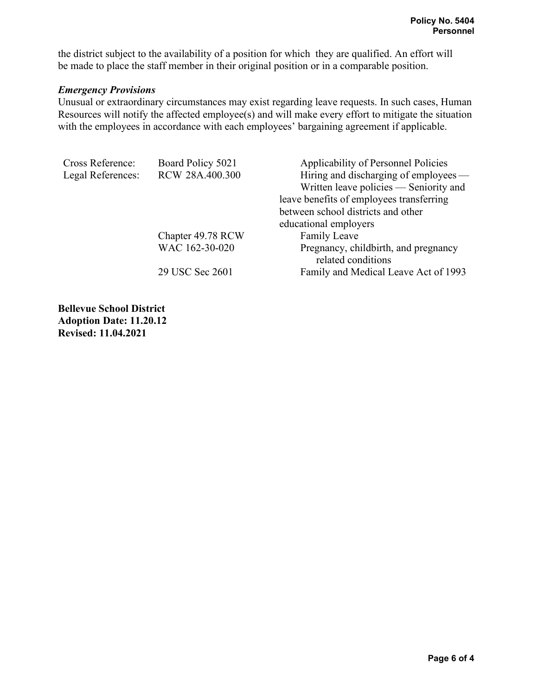the district subject to the availability of a position for which they are qualified. An effort will be made to place the staff member in their original position or in a comparable position.

#### *Emergency Provisions*

Unusual or extraordinary circumstances may exist regarding leave requests. In such cases, Human Resources will notify the affected employee(s) and will make every effort to mitigate the situation with the employees in accordance with each employees' bargaining agreement if applicable.

| Cross Reference:  | Board Policy 5021 | Applicability of Personnel Policies                        |
|-------------------|-------------------|------------------------------------------------------------|
| Legal References: | RCW 28A.400.300   | Hiring and discharging of employees —                      |
|                   |                   | Written leave policies — Seniority and                     |
|                   |                   | leave benefits of employees transferring                   |
|                   |                   | between school districts and other                         |
|                   |                   | educational employers                                      |
|                   | Chapter 49.78 RCW | Family Leave                                               |
|                   | WAC 162-30-020    | Pregnancy, childbirth, and pregnancy<br>related conditions |
|                   | 29 USC Sec 2601   | Family and Medical Leave Act of 1993                       |

**Bellevue School District Adoption Date: 11.20.12 Revised: 11.04.2021**